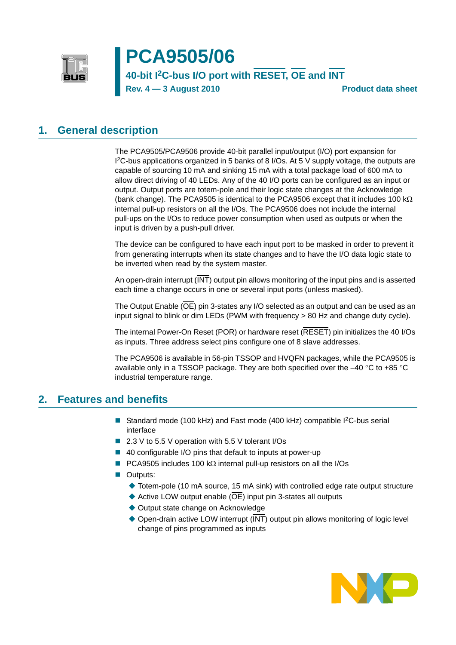

# **PCA9505/06**

### **40-bit I2C-bus I/O port with RESET, OE and INT**

**Rev. 4 – 3 August 2010 Product data sheet** 

### <span id="page-0-0"></span>**1. General description**

The PCA9505/PCA9506 provide 40-bit parallel input/output (I/O) port expansion for I 2C-bus applications organized in 5 banks of 8 I/Os. At 5 V supply voltage, the outputs are capable of sourcing 10 mA and sinking 15 mA with a total package load of 600 mA to allow direct driving of 40 LEDs. Any of the 40 I/O ports can be configured as an input or output. Output ports are totem-pole and their logic state changes at the Acknowledge (bank change). The PCA9505 is identical to the PCA9506 except that it includes 100 k $\Omega$ internal pull-up resistors on all the I/Os. The PCA9506 does not include the internal pull-ups on the I/Os to reduce power consumption when used as outputs or when the input is driven by a push-pull driver.

The device can be configured to have each input port to be masked in order to prevent it from generating interrupts when its state changes and to have the I/O data logic state to be inverted when read by the system master.

An open-drain interrupt (INT) output pin allows monitoring of the input pins and is asserted each time a change occurs in one or several input ports (unless masked).

The Output Enable (OE) pin 3-states any I/O selected as an output and can be used as an input signal to blink or dim LEDs (PWM with frequency > 80 Hz and change duty cycle).

The internal Power-On Reset (POR) or hardware reset (RESET) pin initializes the 40 I/Os as inputs. Three address select pins configure one of 8 slave addresses.

The PCA9506 is available in 56-pin TSSOP and HVQFN packages, while the PCA9505 is available only in a TSSOP package. They are both specified over the −40 °C to +85 °C industrial temperature range.

### <span id="page-0-1"></span>**2. Features and benefits**

- Standard mode (100 kHz) and Fast mode (400 kHz) compatible I<sup>2</sup>C-bus serial interface
- 2.3 V to 5.5 V operation with 5.5 V tolerant I/Os
- 40 configurable I/O pins that default to inputs at power-up
- **PCA9505** includes 100 kΩ internal pull-up resistors on all the I/Os
- Outputs:
	- ◆ Totem-pole (10 mA source, 15 mA sink) with controlled edge rate output structure
	- Active LOW output enable  $(\overline{OE})$  input pin 3-states all outputs
	- ◆ Output state change on Acknowledge
	- ◆ Open-drain active LOW interrupt (INT) output pin allows monitoring of logic level change of pins programmed as inputs

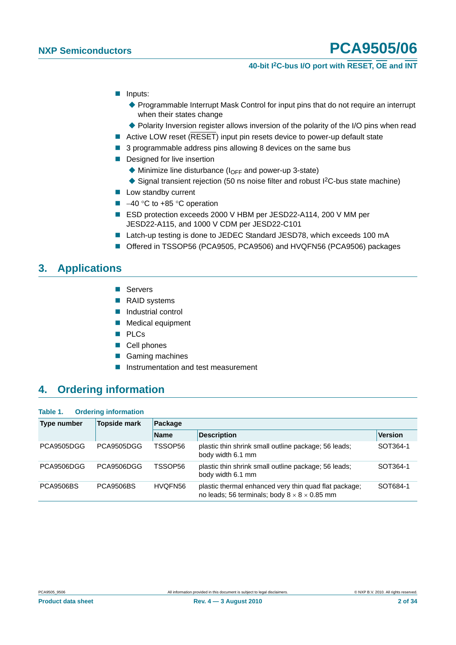### **40-bit I2C-bus I/O port with RESET, OE and INT**

- **I** Inputs:
	- ◆ Programmable Interrupt Mask Control for input pins that do not require an interrupt when their states change
	- Polarity Inversion register allows inversion of the polarity of the I/O pins when read
- Active LOW reset (RESET) input pin resets device to power-up default state
- 3 programmable address pins allowing 8 devices on the same bus
- **Designed for live insertion** 
	- $\blacklozenge$  Minimize line disturbance ( $I_{\text{OFF}}$  and power-up 3-state)
	- $\triangle$  Signal transient rejection (50 ns noise filter and robust I<sup>2</sup>C-bus state machine)
- **Low standby current**
- –40 °C to +85 °C operation
- ESD protection exceeds 2000 V HBM per JESD22-A114, 200 V MM per JESD22-A115, and 1000 V CDM per JESD22-C101
- Latch-up testing is done to JEDEC Standard JESD78, which exceeds 100 mA
- Offered in TSSOP56 (PCA9505, PCA9506) and HVQFN56 (PCA9506) packages

### <span id="page-1-0"></span>**3. Applications**

- Servers
- RAID systems
- **Industrial control**
- **Medical equipment**
- **PLCs**
- Cell phones
- Gaming machines
- **Instrumentation and test measurement**

## <span id="page-1-1"></span>**4. Ordering information**

| Table 1. |  | <b>Ordering information</b> |
|----------|--|-----------------------------|
|----------|--|-----------------------------|

| <b>Type number</b> | <b>Topside mark</b> | Package     |                                                                                                                   |                |  |  |  |  |
|--------------------|---------------------|-------------|-------------------------------------------------------------------------------------------------------------------|----------------|--|--|--|--|
|                    |                     | <b>Name</b> | <b>Description</b>                                                                                                | <b>Version</b> |  |  |  |  |
| PCA9505DGG         | PCA9505DGG          | TSSOP56     | plastic thin shrink small outline package; 56 leads;<br>body width 6.1 mm                                         | SOT364-1       |  |  |  |  |
| PCA9506DGG         | PCA9506DGG          | TSSOP56     | plastic thin shrink small outline package; 56 leads;<br>body width 6.1 mm                                         | SOT364-1       |  |  |  |  |
| <b>PCA9506BS</b>   | <b>PCA9506BS</b>    | HVQFN56     | plastic thermal enhanced very thin quad flat package;<br>no leads; 56 terminals; body $8 \times 8 \times 0.85$ mm | SOT684-1       |  |  |  |  |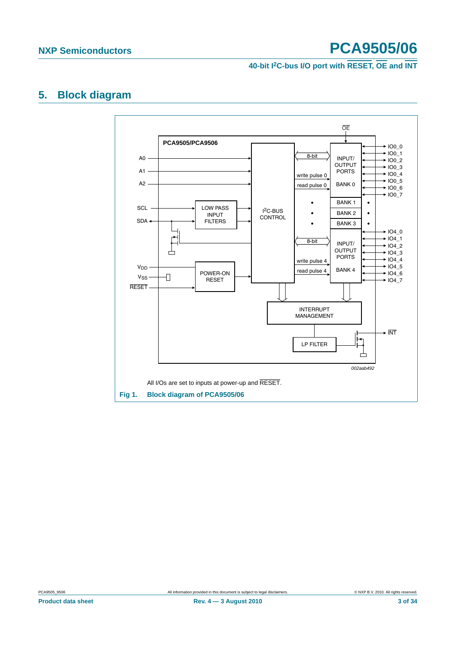**40-bit I2C-bus I/O port with RESET, OE and INT**

### <span id="page-2-1"></span>**5. Block diagram**



<span id="page-2-0"></span>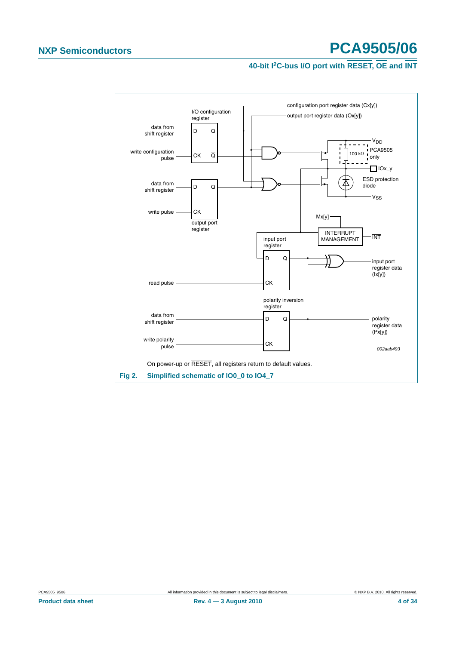### **40-bit I2C-bus I/O port with RESET, OE and INT**



<span id="page-3-0"></span>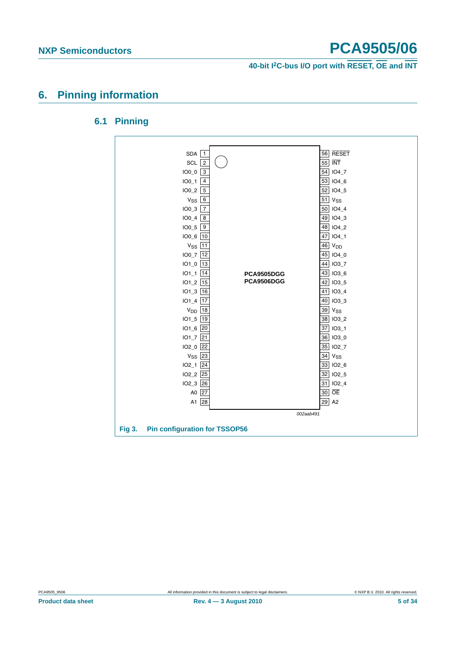**40-bit I2C-bus I/O port with RESET, OE and INT**

### <span id="page-4-1"></span><span id="page-4-0"></span>**6. Pinning information**

### **6.1 Pinning**

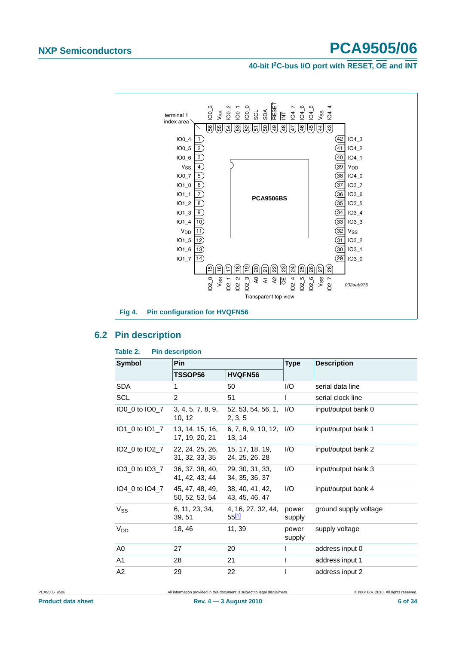**40-bit I2C-bus I/O port with RESET, OE and INT**



### <span id="page-5-0"></span>**6.2 Pin description**

| Table 2.<br><b>Pin description</b> |                                                   |                                   |                 |                       |  |  |  |  |  |  |
|------------------------------------|---------------------------------------------------|-----------------------------------|-----------------|-----------------------|--|--|--|--|--|--|
| <b>Symbol</b>                      | <b>Pin</b>                                        |                                   | <b>Type</b>     | <b>Description</b>    |  |  |  |  |  |  |
|                                    | TSSOP56                                           | <b>HVQFN56</b>                    |                 |                       |  |  |  |  |  |  |
| <b>SDA</b>                         | 1                                                 | 50                                | 1/O             | serial data line      |  |  |  |  |  |  |
| SCL                                | $\overline{2}$                                    | 51                                | $\mathbf{I}$    | serial clock line     |  |  |  |  |  |  |
| IO0_0 to IO0_7                     | 3, 4, 5, 7, 8, 9,<br>10, 12                       | 52, 53, 54, 56, 1,<br>2, 3, 5     | 1/O             | input/output bank 0   |  |  |  |  |  |  |
|                                    | IO1_0 to IO1_7 13, 14, 15, 16,<br>17, 19, 20, 21  | 6, 7, 8, 9, 10, 12, 1/O<br>13, 14 |                 | input/output bank 1   |  |  |  |  |  |  |
| IO2_0 to IO2_7                     | 22, 24, 25, 26, 15, 17, 18, 19,<br>31, 32, 33, 35 | 24, 25, 26, 28                    | 1/O             | input/output bank 2   |  |  |  |  |  |  |
| IO3 0 to IO3 7                     | 36, 37, 38, 40,<br>41, 42, 43, 44                 | 29, 30, 31, 33,<br>34, 35, 36, 37 | I/O             | input/output bank 3   |  |  |  |  |  |  |
|                                    | IO4_0 to IO4_7 45, 47, 48, 49,<br>50, 52, 53, 54  | 38, 40, 41, 42,<br>43, 45, 46, 47 | 1/O             | input/output bank 4   |  |  |  |  |  |  |
| $V_{SS}$                           | 6, 11, 23, 34,<br>39, 51                          | 4, 16, 27, 32, 44,<br>5511        | power<br>supply | ground supply voltage |  |  |  |  |  |  |
| V <sub>DD</sub>                    | 18, 46                                            | 11, 39                            | power<br>supply | supply voltage        |  |  |  |  |  |  |
| A <sub>0</sub>                     | 27                                                | 20                                | I               | address input 0       |  |  |  |  |  |  |
| A1                                 | 28                                                | 21                                | I               | address input 1       |  |  |  |  |  |  |
| A <sub>2</sub>                     | 29                                                | 22                                | I               | address input 2       |  |  |  |  |  |  |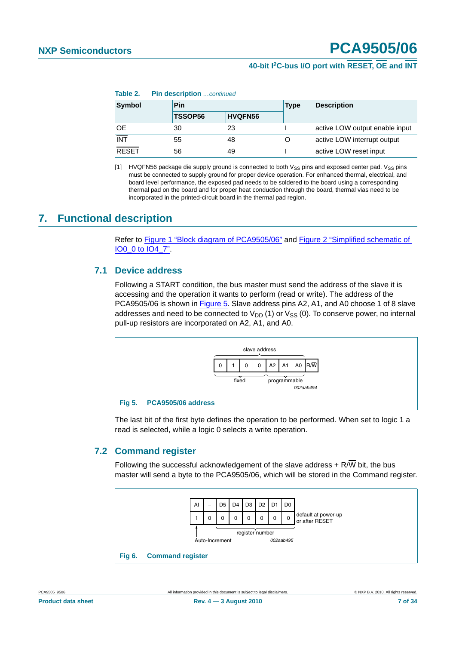### <span id="page-6-2"></span>**40-bit I2C-bus I/O port with RESET, OE and INT**

**Table 2. Pin description** continued

| Symbol           | Pin            |                | <b>Type</b> | <b>Description</b>             |  |
|------------------|----------------|----------------|-------------|--------------------------------|--|
|                  | <b>TSSOP56</b> | <b>HVQFN56</b> |             |                                |  |
| <b>OE</b>        | 30             | 23             |             | active LOW output enable input |  |
| $\overline{INT}$ | 55             | 48             |             | active LOW interrupt output    |  |
| <b>RESET</b>     | 56             | 49             |             | active LOW reset input         |  |

<span id="page-6-0"></span>[1] HVQFN56 package die supply ground is connected to both  $V_{SS}$  pins and exposed center pad.  $V_{SS}$  pins must be connected to supply ground for proper device operation. For enhanced thermal, electrical, and board level performance, the exposed pad needs to be soldered to the board using a corresponding thermal pad on the board and for proper heat conduction through the board, thermal vias need to be incorporated in the printed-circuit board in the thermal pad region.

### <span id="page-6-4"></span><span id="page-6-3"></span>**7. Functional description**

Refer to [Figure 1 "Block diagram of PCA9505/06"](#page-2-0) and [Figure 2 "Simplified schematic of](#page-3-0)  [IO0\\_0 to IO4\\_7".](#page-3-0)

#### **7.1 Device address**

Following a START condition, the bus master must send the address of the slave it is accessing and the operation it wants to perform (read or write). The address of the PCA9505/06 is shown in [Figure 5](#page-6-1). Slave address pins A2, A1, and A0 choose 1 of 8 slave addresses and need to be connected to  $V_{DD}$  (1) or  $V_{SS}$  (0). To conserve power, no internal pull-up resistors are incorporated on A2, A1, and A0.



<span id="page-6-1"></span>The last bit of the first byte defines the operation to be performed. When set to logic 1 a read is selected, while a logic 0 selects a write operation.

#### <span id="page-6-5"></span>**7.2 Command register**

Following the successful acknowledgement of the slave address  $+ R/\overline{W}$  bit, the bus master will send a byte to the PCA9505/06, which will be stored in the Command register.

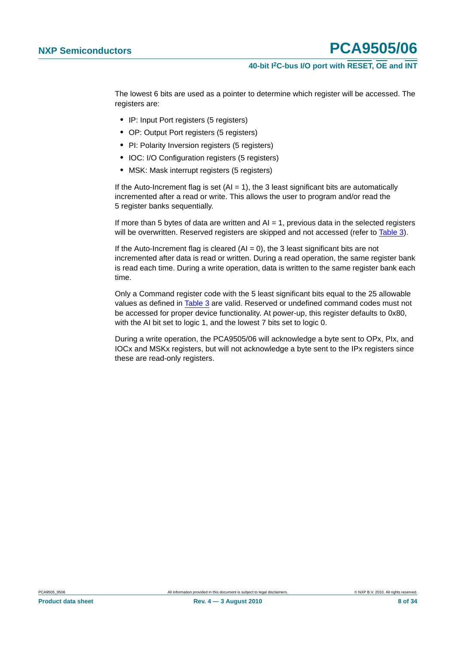### **40-bit I2C-bus I/O port with RESET, OE and INT**

The lowest 6 bits are used as a pointer to determine which register will be accessed. The registers are:

- **•** IP: Input Port registers (5 registers)
- **•** OP: Output Port registers (5 registers)
- **•** PI: Polarity Inversion registers (5 registers)
- **•** IOC: I/O Configuration registers (5 registers)
- **•** MSK: Mask interrupt registers (5 registers)

If the Auto-Increment flag is set  $(AI = 1)$ , the 3 least significant bits are automatically incremented after a read or write. This allows the user to program and/or read the 5 register banks sequentially.

If more than 5 bytes of data are written and  $AI = 1$ , previous data in the selected registers will be overwritten. Reserved registers are skipped and not accessed (refer to [Table 3](#page-8-0)).

If the Auto-Increment flag is cleared  $(AI = 0)$ , the 3 least significant bits are not incremented after data is read or written. During a read operation, the same register bank is read each time. During a write operation, data is written to the same register bank each time.

Only a Command register code with the 5 least significant bits equal to the 25 allowable values as defined in [Table 3](#page-8-0) are valid. Reserved or undefined command codes must not be accessed for proper device functionality. At power-up, this register defaults to 0x80, with the AI bit set to logic 1, and the lowest 7 bits set to logic 0.

During a write operation, the PCA9505/06 will acknowledge a byte sent to OPx, PIx, and IOCx and MSKx registers, but will not acknowledge a byte sent to the IPx registers since these are read-only registers.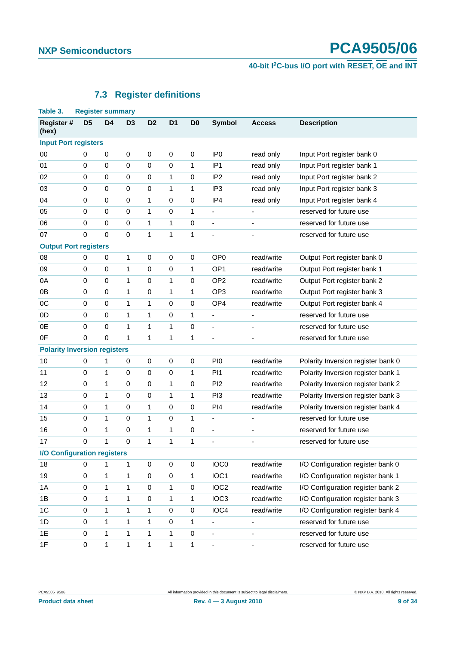# **40-bit I2C-bus I/O port with RESET, OE and INT**

### **7.3 Register definitions**

<span id="page-8-1"></span><span id="page-8-0"></span>

| Table 3.                            | <b>Register summary</b> |                |                |                |                |                |                          |                              |                                    |
|-------------------------------------|-------------------------|----------------|----------------|----------------|----------------|----------------|--------------------------|------------------------------|------------------------------------|
| Register #<br>(hex)                 | D <sub>5</sub>          | D <sub>4</sub> | D <sub>3</sub> | D <sub>2</sub> | D <sub>1</sub> | D <sub>0</sub> | <b>Symbol</b>            | <b>Access</b>                | <b>Description</b>                 |
| <b>Input Port registers</b>         |                         |                |                |                |                |                |                          |                              |                                    |
| 00                                  | 0                       | $\pmb{0}$      | $\pmb{0}$      | $\pmb{0}$      | 0              | 0              | IP <sub>0</sub>          | read only                    | Input Port register bank 0         |
| 01                                  | $\mathbf 0$             | $\pmb{0}$      | $\pmb{0}$      | $\pmb{0}$      | 0              | 1              | IP <sub>1</sub>          | read only                    | Input Port register bank 1         |
| 02                                  | $\boldsymbol{0}$        | $\mathbf 0$    | $\pmb{0}$      | $\pmb{0}$      | $\mathbf{1}$   | 0              | IP <sub>2</sub>          | read only                    | Input Port register bank 2         |
| 03                                  | $\mathbf 0$             | $\pmb{0}$      | $\pmb{0}$      | 0              | 1              | 1              | IP <sub>3</sub>          | read only                    | Input Port register bank 3         |
| 04                                  | $\boldsymbol{0}$        | $\mathbf 0$    | $\pmb{0}$      | 1              | 0              | 0              | IP4                      | read only                    | Input Port register bank 4         |
| 05                                  | $\mathbf 0$             | $\mathbf 0$    | $\pmb{0}$      | 1              | 0              | 1              | $\overline{a}$           | $\overline{a}$               | reserved for future use            |
| 06                                  | $\mathbf 0$             | $\mathbf 0$    | $\pmb{0}$      | 1              | $\mathbf{1}$   | 0              | $\overline{\phantom{a}}$ | ÷                            | reserved for future use            |
| 07                                  | $\mathbf 0$             | $\mathbf 0$    | $\mathbf 0$    | 1              | 1              | 1              | $\overline{\phantom{a}}$ | ٠                            | reserved for future use            |
| <b>Output Port registers</b>        |                         |                |                |                |                |                |                          |                              |                                    |
| 08                                  | $\mathbf 0$             | $\pmb{0}$      | $\mathbf{1}$   | 0              | 0              | $\mathbf 0$    | OP <sub>0</sub>          | read/write                   | Output Port register bank 0        |
| 09                                  | $\mathbf 0$             | $\mathbf 0$    | $\mathbf{1}$   | $\pmb{0}$      | 0              | 1              | OP <sub>1</sub>          | read/write                   | Output Port register bank 1        |
| 0A                                  | $\mathbf 0$             | $\mathbf 0$    | 1              | 0              | 1              | 0              | OP <sub>2</sub>          | read/write                   | Output Port register bank 2        |
| 0B                                  | $\boldsymbol{0}$        | $\mathbf 0$    | $\mathbf{1}$   | $\pmb{0}$      | $\mathbf{1}$   | 1              | OP <sub>3</sub>          | read/write                   | Output Port register bank 3        |
| $_{0C}$                             | $\mathbf 0$             | $\mathbf 0$    | 1              | 1              | 0              | 0              | OP <sub>4</sub>          | read/write                   | Output Port register bank 4        |
| 0 <sub>D</sub>                      | $\mathbf 0$             | $\mathbf 0$    | $\mathbf{1}$   | 1              | 0              | 1              | $\overline{a}$           |                              | reserved for future use            |
| 0E                                  | $\mathbf 0$             | $\mathbf 0$    | 1              | 1              | 1              | 0              | $\overline{\phantom{a}}$ | ٠                            | reserved for future use            |
| 0F                                  | 0                       | $\mathbf 0$    | $\mathbf{1}$   | 1              | $\mathbf{1}$   | 1              |                          | ÷,                           | reserved for future use            |
| <b>Polarity Inversion registers</b> |                         |                |                |                |                |                |                          |                              |                                    |
| 10                                  | $\mathbf 0$             | 1              | $\pmb{0}$      | $\pmb{0}$      | 0              | 0              | PI <sub>0</sub>          | read/write                   | Polarity Inversion register bank 0 |
| 11                                  | 0                       | 1              | 0              | 0              | 0              | 1              | P <sub>11</sub>          | read/write                   | Polarity Inversion register bank 1 |
| 12                                  | $\boldsymbol{0}$        | $\mathbf{1}$   | $\pmb{0}$      | $\pmb{0}$      | 1              | 0              | PI <sub>2</sub>          | read/write                   | Polarity Inversion register bank 2 |
| 13                                  | 0                       | 1              | $\pmb{0}$      | 0              | 1              | 1              | PI <sub>3</sub>          | read/write                   | Polarity Inversion register bank 3 |
| 14                                  | $\mathbf 0$             | 1              | $\mathbf 0$    | 1              | 0              | 0              | PI4                      | read/write                   | Polarity Inversion register bank 4 |
| 15                                  | 0                       | 1              | 0              | 1              | 0              | 1              | $\overline{\phantom{a}}$ | -                            | reserved for future use            |
| 16                                  | $\boldsymbol{0}$        | 1              | $\pmb{0}$      | 1              | $\mathbf 1$    | 0              | $\overline{\phantom{a}}$ | ÷                            | reserved for future use            |
| 17                                  | $\boldsymbol{0}$        | 1              | $\mathbf 0$    | 1              | 1              | 1              | $\overline{\phantom{a}}$ | ٠                            | reserved for future use            |
| <b>I/O Configuration registers</b>  |                         |                |                |                |                |                |                          |                              |                                    |
| 18                                  | 0                       | 1              | 1              | 0              | $\pmb{0}$      | 0              | IOC <sub>0</sub>         | read/write                   | I/O Configuration register bank 0  |
| 19                                  | $\pmb{0}$               | 1              | 1              | $\mathsf 0$    | $\mathsf 0$    | 1              | IOC1                     | read/write                   | I/O Configuration register bank 1  |
| 1A                                  | $\mathbf 0$             | 1              | 1              | 0              | 1              | 0              | IOC <sub>2</sub>         | read/write                   | I/O Configuration register bank 2  |
| 1B                                  | $\pmb{0}$               | $\mathbf{1}$   | $\mathbf{1}$   | $\mathsf 0$    | $\mathbf{1}$   | 1              | IOC <sub>3</sub>         | read/write                   | I/O Configuration register bank 3  |
| 1C                                  | $\mathbf 0$             | 1              | 1              | 1              | 0              | 0              | IOC4                     | read/write                   | I/O Configuration register bank 4  |
| 1D                                  | $\pmb{0}$               | 1              | $\mathbf{1}$   | $\mathbf{1}$   | $\mathsf 0$    | 1              |                          | $\qquad \qquad \blacksquare$ | reserved for future use            |
| 1E                                  | $\mathbf 0$             | $\mathbf{1}$   | 1              | 1              | 1              | $\mathbf 0$    | ÷                        | $\qquad \qquad \blacksquare$ | reserved for future use            |
| 1F                                  | $\mathbf 0$             | $\mathbf{1}$   | $\mathbf{1}$   | $\mathbf{1}$   | $\mathbf 1$    | $\mathbf{1}$   |                          | $\overline{\phantom{a}}$     | reserved for future use            |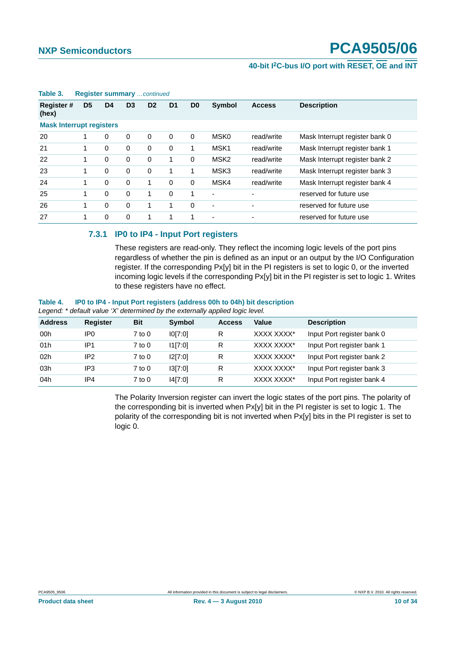### **40-bit I2C-bus I/O port with RESET, OE and INT**

|                                 | . <u>.</u>     |                |                |                |                |                |                          |               |                                |  |  |
|---------------------------------|----------------|----------------|----------------|----------------|----------------|----------------|--------------------------|---------------|--------------------------------|--|--|
| <b>Register#</b><br>(hex)       | D <sub>5</sub> | D <sub>4</sub> | D <sub>3</sub> | D <sub>2</sub> | D <sub>1</sub> | D <sub>0</sub> | <b>Symbol</b>            | <b>Access</b> | <b>Description</b>             |  |  |
| <b>Mask Interrupt registers</b> |                |                |                |                |                |                |                          |               |                                |  |  |
| 20                              | 1              | 0              | 0              | $\Omega$       | 0              | 0              | MSK <sub>0</sub>         | read/write    | Mask Interrupt register bank 0 |  |  |
| 21                              | 1              | 0              | $\Omega$       | 0              | 0              | 1              | MSK <sub>1</sub>         | read/write    | Mask Interrupt register bank 1 |  |  |
| 22                              |                | 0              | $\Omega$       | 0              | 1              | 0              | MSK <sub>2</sub>         | read/write    | Mask Interrupt register bank 2 |  |  |
| 23                              | 1              | 0              | $\Omega$       | $\Omega$       | 1              | 1              | MSK3                     | read/write    | Mask Interrupt register bank 3 |  |  |
| 24                              | 1              | 0              | $\Omega$       |                | 0              | 0              | MSK4                     | read/write    | Mask Interrupt register bank 4 |  |  |
| 25                              | 1              | 0              | $\Omega$       | 1              | 0              | 1              | $\blacksquare$           |               | reserved for future use        |  |  |
| 26                              | 1              | $\Omega$       | $\Omega$       | 1              | 1              | $\Omega$       | $\overline{\phantom{a}}$ | -             | reserved for future use        |  |  |
| 27                              |                | 0              | $\Omega$       |                | 1              | 1              | $\blacksquare$           | -             | reserved for future use        |  |  |

#### **Table 3. Register summary** *…continued*

#### <span id="page-9-0"></span>**7.3.1 IP0 to IP4 - Input Port registers**

These registers are read-only. They reflect the incoming logic levels of the port pins regardless of whether the pin is defined as an input or an output by the I/O Configuration register. If the corresponding Px[y] bit in the PI registers is set to logic 0, or the inverted incoming logic levels if the corresponding Px[y] bit in the PI register is set to logic 1. Writes to these registers have no effect.

### **Table 4. IP0 to IP4 - Input Port registers (address 00h to 04h) bit description**

*Legend: \* default value 'X' determined by the externally applied logic level.*

| <b>Address</b> | Register | <b>Bit</b> | Symbol  | <b>Access</b> | Value      | <b>Description</b>         |
|----------------|----------|------------|---------|---------------|------------|----------------------------|
| 00h            | IP0.     | $7$ to $0$ | 10[7:0] | R             | XXXX XXXX* | Input Port register bank 0 |
| 01h            | IP1      | $7$ to $0$ | 11[7:0] | R             | XXXX XXXX* | Input Port register bank 1 |
| 02h            | IP2      | $7$ to $0$ | 12[7:0] | R             | XXXX XXXX* | Input Port register bank 2 |
| 03h            | IP3      | $7$ to $0$ | 3[7:0]  | R             | XXXX XXXX* | Input Port register bank 3 |
| 04h            | IP4      | $7$ to $0$ | 14[7:0] | R             | XXXX XXXX* | Input Port register bank 4 |

The Polarity Inversion register can invert the logic states of the port pins. The polarity of the corresponding bit is inverted when Px[y] bit in the PI register is set to logic 1. The polarity of the corresponding bit is not inverted when Px[y] bits in the PI register is set to logic 0.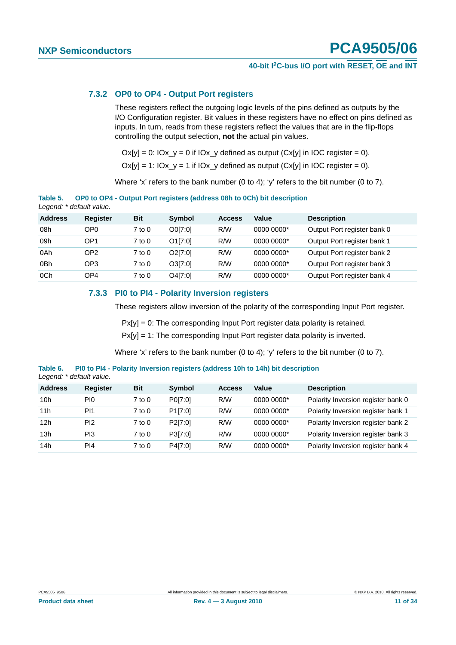### **40-bit I2C-bus I/O port with RESET, OE and INT**

#### <span id="page-10-0"></span>**7.3.2 OP0 to OP4 - Output Port registers**

**Table 5. OP0 to OP4 - Output Port registers (address 08h to 0Ch) bit description**

These registers reflect the outgoing logic levels of the pins defined as outputs by the I/O Configuration register. Bit values in these registers have no effect on pins defined as inputs. In turn, reads from these registers reflect the values that are in the flip-flops controlling the output selection, **not** the actual pin values.

 $Ox[y] = 0$ :  $Ox_y = 0$  if  $Ox_y$  defined as output  $(Cx[y]$  in  $OC$  register = 0).

 $Ox[y] = 1$ :  $Ox \, y = 1$  if  $Ox \, y$  defined as output  $(Cx[y])$  in IOC register = 0).

Where 'x' refers to the bank number (0 to 4); 'y' refers to the bit number (0 to 7).

| Legend: * default value. |                 |            |         |               |            |                             |  |  |  |
|--------------------------|-----------------|------------|---------|---------------|------------|-----------------------------|--|--|--|
| <b>Address</b>           | <b>Register</b> | <b>Bit</b> | Symbol  | <b>Access</b> | Value      | <b>Description</b>          |  |  |  |
| 08h                      | OP <sub>0</sub> | $7$ to $0$ | O0[7:0] | R/W           | 0000 0000* | Output Port register bank 0 |  |  |  |
| 09h                      | OP <sub>1</sub> | $7$ to $0$ | O1[7:0] | R/W           | 0000 0000* | Output Port register bank 1 |  |  |  |
| 0Ah                      | OP <sub>2</sub> | $7$ to $0$ | O2[7:0] | R/W           | 0000 0000* | Output Port register bank 2 |  |  |  |
| 0Bh                      | OP <sub>3</sub> | $7$ to $0$ | O3[7:0] | R/W           | 0000 0000* | Output Port register bank 3 |  |  |  |
| 0Ch                      | OP <sub>4</sub> | $7$ to $0$ | O4[7:0] | R/W           | 0000 0000* | Output Port register bank 4 |  |  |  |

## <span id="page-10-1"></span>**7.3.3 PI0 to PI4 - Polarity Inversion registers**

These registers allow inversion of the polarity of the corresponding Input Port register.

 $P x[y] = 0$ : The corresponding Input Port register data polarity is retained.

 $P x[y] = 1$ : The corresponding Input Port register data polarity is inverted.

Where 'x' refers to the bank number (0 to 4); 'y' refers to the bit number (0 to 7).

**Table 6. PI0 to PI4 - Polarity Inversion registers (address 10h to 14h) bit description** *Legend: \* default value.*

| <b>Address</b>  | <b>Register</b> | <b>Bit</b> | <b>Symbol</b> | <b>Access</b> | Value      | <b>Description</b>                 |
|-----------------|-----------------|------------|---------------|---------------|------------|------------------------------------|
| 10h             | PI0.            | 7 to 0     | P0[7:0]       | R/W           | 0000 0000* | Polarity Inversion register bank 0 |
| 11h             | PI1             | 7 to 0     | P1[7:0]       | R/W           | 0000 0000* | Polarity Inversion register bank 1 |
| 12 <sub>h</sub> | PI <sub>2</sub> | $7$ to $0$ | P2[7:0]       | R/W           | 0000 0000* | Polarity Inversion register bank 2 |
| 13h             | PI3             | 7 to 0     | P3[7:0]       | R/W           | 0000 0000* | Polarity Inversion register bank 3 |
| 14h             | PI4             | 7 to 0     | P4[7:0]       | R/W           | 0000 0000* | Polarity Inversion register bank 4 |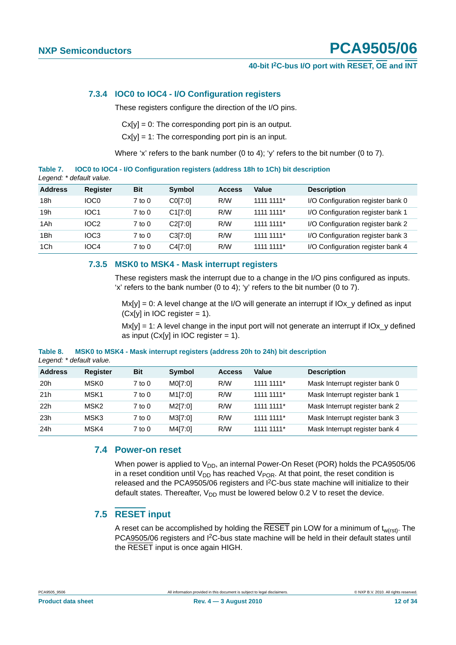### **40-bit I2C-bus I/O port with RESET, OE and INT**

#### <span id="page-11-0"></span>**7.3.4 IOC0 to IOC4 - I/O Configuration registers**

These registers configure the direction of the I/O pins.

 $Cx[y] = 0$ : The corresponding port pin is an output.

 $Cx[y] = 1$ : The corresponding port pin is an input.

Where 'x' refers to the bank number (0 to 4); 'y' refers to the bit number (0 to 7).

**Table 7. IOC0 to IOC4 - I/O Configuration registers (address 18h to 1Ch) bit description** *Legend: \* default value.*

| <b>Address</b> | <b>Register</b>  | <b>Bit</b> | <b>Symbol</b> | <b>Access</b> | Value      | <b>Description</b>                |
|----------------|------------------|------------|---------------|---------------|------------|-----------------------------------|
| 18h            | IOC <sub>0</sub> | $7$ to $0$ | C0[7:0]       | R/W           | 1111 1111* | I/O Configuration register bank 0 |
| 19h            | IOC <sub>1</sub> | $7$ to $0$ | C1[7:0]       | R/W           | 1111 1111* | I/O Configuration register bank 1 |
| 1Ah            | IOC <sub>2</sub> | $7$ to $0$ | C2[7:0]       | R/W           | 1111 1111* | I/O Configuration register bank 2 |
| 1Bh            | IOC <sub>3</sub> | $7$ to $0$ | C3[7:0]       | R/W           | 1111 1111* | I/O Configuration register bank 3 |
| 1Ch            | IOC4             | $7$ to $0$ | C4[7:0]       | R/W           | 1111 1111* | I/O Configuration register bank 4 |

#### <span id="page-11-1"></span>**7.3.5 MSK0 to MSK4 - Mask interrupt registers**

These registers mask the interrupt due to a change in the I/O pins configured as inputs. 'x' refers to the bank number (0 to 4); 'y' refers to the bit number (0 to 7).

 $Mx[y] = 0$ : A level change at the I/O will generate an interrupt if  $J0x$  defined as input  $(Cx[y]$  in IOC register = 1).

 $Mx[y] = 1$ : A level change in the input port will not generate an interrupt if  $JOx$  defined as input  $(Cx[y]$  in IOC register = 1).

|          | Legend: * default value. |  |  |  |                                                                              |  |
|----------|--------------------------|--|--|--|------------------------------------------------------------------------------|--|
| Table 8. |                          |  |  |  | MSK0 to MSK4 - Mask interrupt registers (address 20h to 24h) bit description |  |

| <b>Address</b> | Register         | <b>Bit</b> | Symbol               | <b>Access</b> | Value      | <b>Description</b>             |
|----------------|------------------|------------|----------------------|---------------|------------|--------------------------------|
| 20h            | MSK0             | $7$ to $0$ | M0[7:0]              | R/W           | 1111 1111* | Mask Interrupt register bank 0 |
| 21h            | MSK1             | $7$ to $0$ | M <sub>1</sub> [7:0] | R/W           | 1111 1111* | Mask Interrupt register bank 1 |
| 22h            | MSK <sub>2</sub> | $7$ to $0$ | M2[7:0]              | R/W           | 1111 1111* | Mask Interrupt register bank 2 |
| 23h            | MSK3             | $7$ to $0$ | M3[7:0]              | R/W           | 1111 1111* | Mask Interrupt register bank 3 |
| 24h            | MSK4             | $7$ to $0$ | M4[7:0]              | R/W           | 1111 1111* | Mask Interrupt register bank 4 |

#### <span id="page-11-2"></span>**7.4 Power-on reset**

When power is applied to  $V_{DD}$ , an internal Power-On Reset (POR) holds the PCA9505/06 in a reset condition until  $V_{DD}$  has reached  $V_{POR}$ . At that point, the reset condition is released and the PCA9505/06 registers and I2C-bus state machine will initialize to their default states. Thereafter,  $V_{DD}$  must be lowered below 0.2 V to reset the device.

#### <span id="page-11-3"></span>**7.5 RESET input**

A reset can be accomplished by holding the RESET pin LOW for a minimum of  $t_{w(rst)}$ . The PCA9505/06 registers and I2C-bus state machine will be held in their default states until the RESET input is once again HIGH.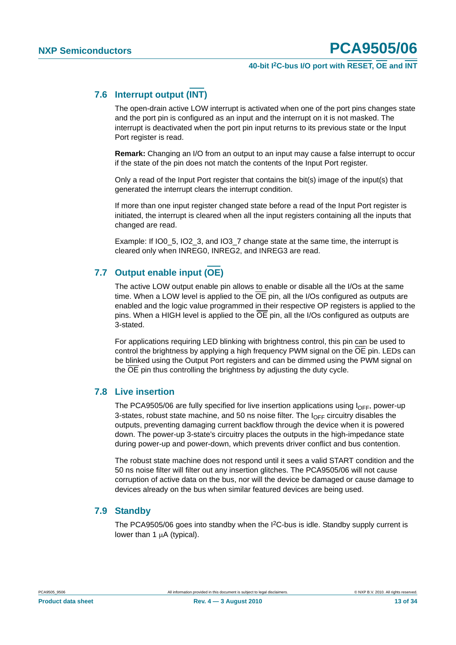### **40-bit I2C-bus I/O port with RESET, OE and INT**

### <span id="page-12-0"></span>**7.6 Interrupt output (INT)**

The open-drain active LOW interrupt is activated when one of the port pins changes state and the port pin is configured as an input and the interrupt on it is not masked. The interrupt is deactivated when the port pin input returns to its previous state or the Input Port register is read.

**Remark:** Changing an I/O from an output to an input may cause a false interrupt to occur if the state of the pin does not match the contents of the Input Port register.

Only a read of the Input Port register that contains the bit(s) image of the input(s) that generated the interrupt clears the interrupt condition.

If more than one input register changed state before a read of the Input Port register is initiated, the interrupt is cleared when all the input registers containing all the inputs that changed are read.

Example: If IO0 5, IO2 3, and IO3 7 change state at the same time, the interrupt is cleared only when INREG0, INREG2, and INREG3 are read.

### <span id="page-12-1"></span>**7.7 Output enable input (OE)**

The active LOW output enable pin allows to enable or disable all the I/Os at the same time. When a LOW level is applied to the OE pin, all the I/Os configured as outputs are enabled and the logic value programmed in their respective OP registers is applied to the pins. When a HIGH level is applied to the  $\overline{OE}$  pin, all the I/Os configured as outputs are 3-stated.

For applications requiring LED blinking with brightness control, this pin can be used to control the brightness by applying a high frequency PWM signal on the OE pin. LEDs can be blinked using the Output Port registers and can be dimmed using the PWM signal on the OE pin thus controlling the brightness by adjusting the duty cycle.

#### <span id="page-12-2"></span>**7.8 Live insertion**

The PCA9505/06 are fully specified for live insertion applications using  $I_{\text{OFF}}$ , power-up 3-states, robust state machine, and 50 ns noise filter. The  $I_{\text{OFF}}$  circuitry disables the outputs, preventing damaging current backflow through the device when it is powered down. The power-up 3-state's circuitry places the outputs in the high-impedance state during power-up and power-down, which prevents driver conflict and bus contention.

The robust state machine does not respond until it sees a valid START condition and the 50 ns noise filter will filter out any insertion glitches. The PCA9505/06 will not cause corruption of active data on the bus, nor will the device be damaged or cause damage to devices already on the bus when similar featured devices are being used.

#### <span id="page-12-3"></span>**7.9 Standby**

The PCA9505/06 goes into standby when the  $I<sup>2</sup>C$ -bus is idle. Standby supply current is lower than 1 μA (typical).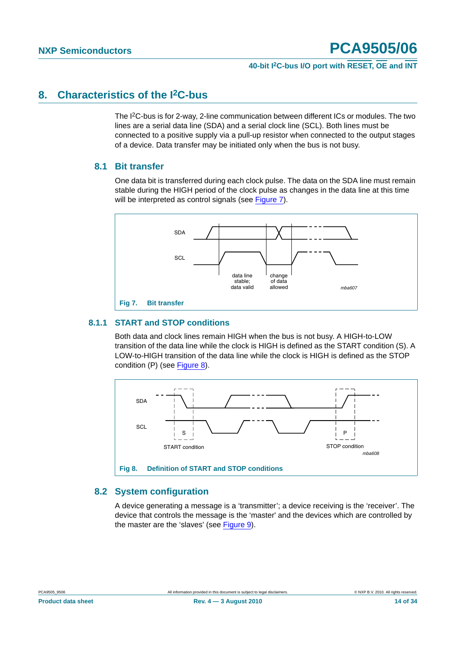### **40-bit I2C-bus I/O port with RESET, OE and INT**

### <span id="page-13-2"></span>**8. Characteristics of the I2C-bus**

The I2C-bus is for 2-way, 2-line communication between different ICs or modules. The two lines are a serial data line (SDA) and a serial clock line (SCL). Both lines must be connected to a positive supply via a pull-up resistor when connected to the output stages of a device. Data transfer may be initiated only when the bus is not busy.

### <span id="page-13-3"></span>**8.1 Bit transfer**

One data bit is transferred during each clock pulse. The data on the SDA line must remain stable during the HIGH period of the clock pulse as changes in the data line at this time will be interpreted as control signals (see [Figure 7](#page-13-0)).



#### <span id="page-13-4"></span><span id="page-13-0"></span>**8.1.1 START and STOP conditions**

Both data and clock lines remain HIGH when the bus is not busy. A HIGH-to-LOW transition of the data line while the clock is HIGH is defined as the START condition (S). A LOW-to-HIGH transition of the data line while the clock is HIGH is defined as the STOP condition (P) (see [Figure 8\)](#page-13-1).



### <span id="page-13-5"></span><span id="page-13-1"></span>**8.2 System configuration**

A device generating a message is a 'transmitter'; a device receiving is the 'receiver'. The device that controls the message is the 'master' and the devices which are controlled by the master are the 'slaves' (see [Figure 9](#page-14-0)).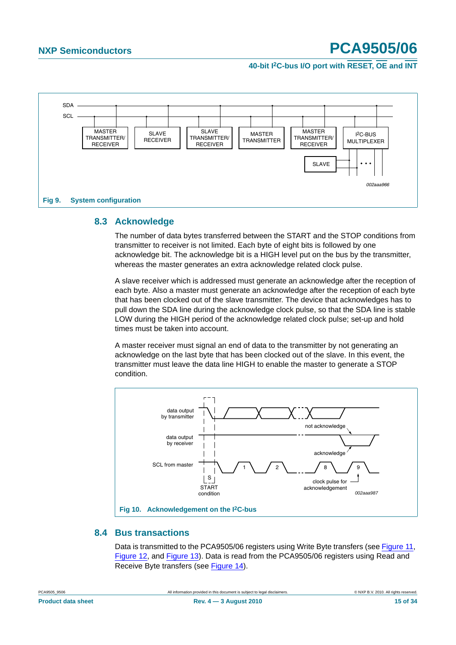**40-bit I2C-bus I/O port with RESET, OE and INT**



### <span id="page-14-1"></span><span id="page-14-0"></span>**8.3 Acknowledge**

The number of data bytes transferred between the START and the STOP conditions from transmitter to receiver is not limited. Each byte of eight bits is followed by one acknowledge bit. The acknowledge bit is a HIGH level put on the bus by the transmitter, whereas the master generates an extra acknowledge related clock pulse.

A slave receiver which is addressed must generate an acknowledge after the reception of each byte. Also a master must generate an acknowledge after the reception of each byte that has been clocked out of the slave transmitter. The device that acknowledges has to pull down the SDA line during the acknowledge clock pulse, so that the SDA line is stable LOW during the HIGH period of the acknowledge related clock pulse; set-up and hold times must be taken into account.

A master receiver must signal an end of data to the transmitter by not generating an acknowledge on the last byte that has been clocked out of the slave. In this event, the transmitter must leave the data line HIGH to enable the master to generate a STOP condition.



#### <span id="page-14-2"></span>**8.4 Bus transactions**

Data is transmitted to the PCA9505/06 registers using Write Byte transfers (see [Figure 11,](#page-15-0) [Figure 12](#page-16-0), and [Figure 13\)](#page-16-1). Data is read from the PCA9505/06 registers using Read and Receive Byte transfers (see [Figure 14\)](#page-17-0).

| <b>Product data sheet</b> |  |
|---------------------------|--|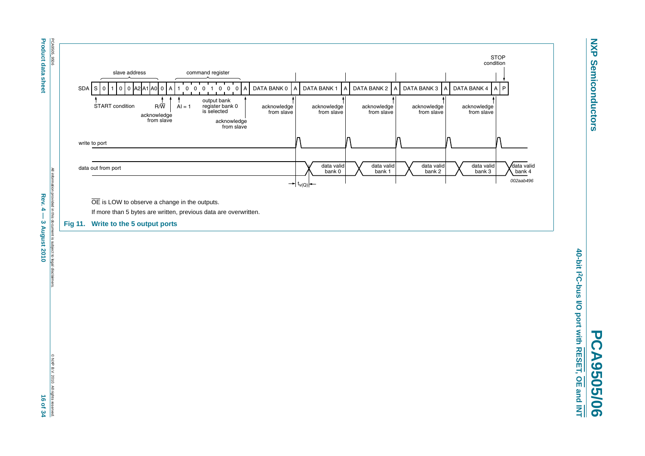

 ${\tt Proco}$  4  ${\tt d}$  and  ${\tt d}$  and  ${\tt d}$  and  ${\tt d}$  and  ${\tt d}$  and  ${\tt d}$  and  ${\tt d}$  and  ${\tt d}$  and  ${\tt d}$  and  ${\tt d}$  and  ${\tt d}$  and  ${\tt d}$  and  ${\tt d}$  and  ${\tt d}$  and  ${\tt d}$  and  ${\tt d}$  and  ${\tt d}$  and  ${\tt d}$ PCA9505\_9506 All rights reserved in this document is subject to legal disclaimers. ◎ NXP B.V. 2010. All rights reserved. ◎ NXP B.V. 2010. All rights reserved. Rev.  $4$ vided in this 3 August 2010 ment is subject to lega **qisclai** 

PCA9505\_9506

**Product data sheet** 

<span id="page-15-0"></span>C NXP B.V. 2010. All rights reserved 16 of 34

**NXP Semiconductors**

**Semiconductors** 

**NXP** 

40-bit 12C-bus I/O port with RESET, OE and INT **40-bit I2C-bus I/O port with RESET, OE and INT PCA9505/06 PCA9505/06**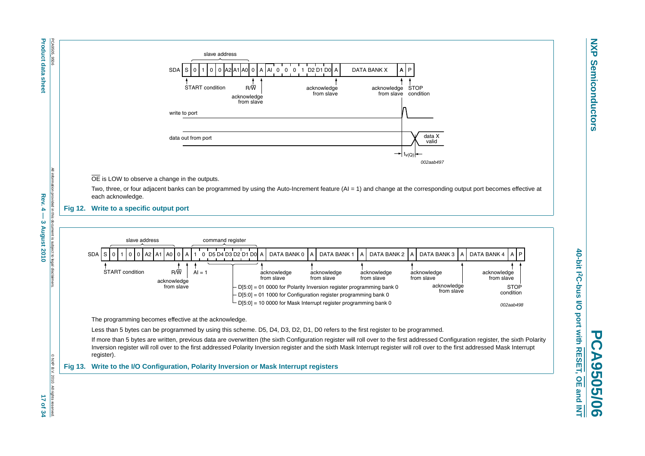<span id="page-16-1"></span><span id="page-16-0"></span>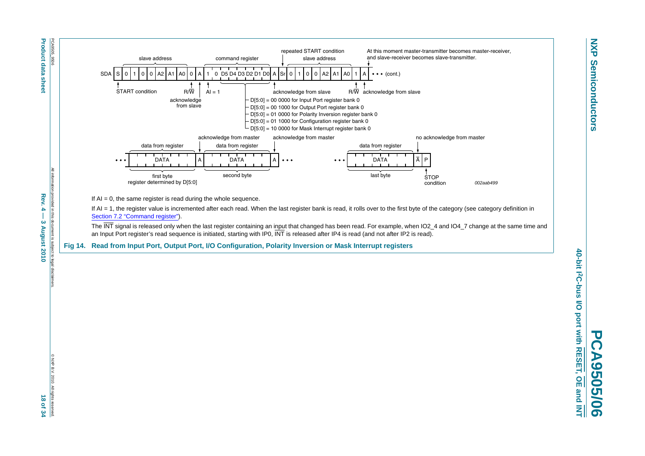

**Product data sheet Rev. 4**  $\approx$  $-$  $-$  $\approx$  $-$  $\approx$  $-$  $-$  $\approx$  $-$  $-$  $\approx$  $-$  $-$  $\approx$  $-$  $-$  $\approx$  $-$  $\approx$  $-$  $\approx$  $-$  $\approx$  $-$  $\approx$  $-$  $\approx$  $-$  $\approx$  $-$  $\approx$  $-$  $\approx$  $-$  $\approx$  $-$  $\approx$  $-$  $\approx$  $-$  $\approx$  $-$  **\approx** PCA9505\_9506 All rights reserved in this document is subject to legal disclaimers. ◎ NXP B.V. 2010. All rights reserved. ◎ NXP B.V. 2010. All rights reserved. Rev.  $4$ provided in this doc 3 August 2010

<span id="page-17-0"></span>



If  $AI = 0$ , the same register is read during the whole sequence.

If AI = 1, the register value is incremented after each read. When the last register bank is read, it rolls over to the first byte of the category (see category definition in [Section 7.2 "Command register"](#page-6-2)).

The INT signal is released only when the last register containing an input that changed has been read. For example, when IO2\_4 and IO4\_7 change at the same time and an Input Port register's read sequence is initiated, starting with IP0, INT is released after IP4 is read (and not after IP2 is read).

**Fig 14. Read from Input Port, Output Port, I/O Configuration, Polarity Inversion or Mask Interrupt registers**

**NXP Semiconductors**

**Semiconductors** 

**NXP**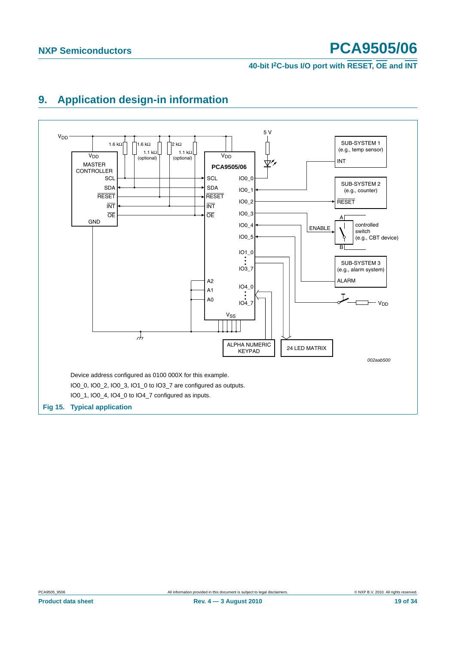**40-bit I2C-bus I/O port with RESET, OE and INT**



## <span id="page-18-0"></span>**9. Application design-in information**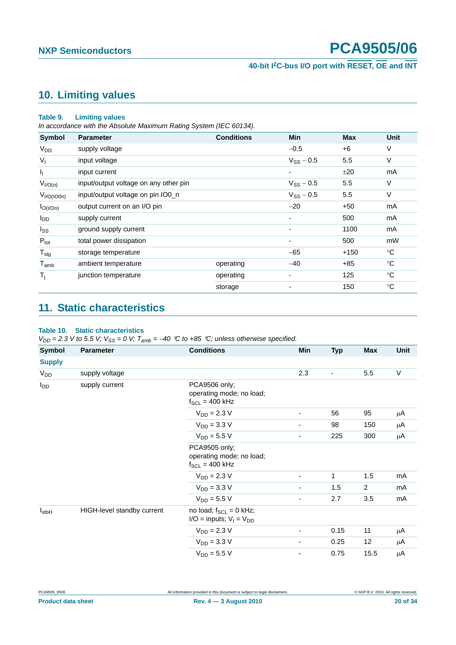**40-bit I2C-bus I/O port with RESET, OE and INT**

### <span id="page-19-1"></span>**10. Limiting values**

#### **Table 9. Limiting values**

*In accordance with the Absolute Maximum Rating System (IEC 60134).*

| <b>Symbol</b>              | <b>Parameter</b>                      | <b>Conditions</b> | <b>Min</b>     | <b>Max</b> | <b>Unit</b>  |
|----------------------------|---------------------------------------|-------------------|----------------|------------|--------------|
| <b>V<sub>DD</sub></b>      | supply voltage                        |                   | $-0.5$         | +6         | V            |
| $V_{1}$                    | input voltage                         |                   | $V_{SS}$ – 0.5 | 5.5        | V            |
| I <sub>I</sub>             | input current                         |                   | ٠              | ±20        | mA           |
| $V_{I/O(n)}$               | input/output voltage on any other pin |                   | $V_{SS} - 0.5$ | 5.5        | V            |
| V <sub>I/O</sub> (IO0n)    | input/output voltage on pin IO0_n     |                   | $V_{SS}$ – 0.5 | 5.5        | V            |
| $I_{O( I/On)}$             | output current on an I/O pin          |                   | $-20$          | $+50$      | mA           |
| <b>I</b> <sub>DD</sub>     | supply current                        |                   |                | 500        | mA           |
| $I_{SS}$                   | ground supply current                 |                   |                | 1100       | mA           |
| $P_{\text{tot}}$           | total power dissipation               |                   | ٠              | 500        | mW           |
| ${\mathsf T}_{\text{stg}}$ | storage temperature                   |                   | $-65$          | $+150$     | $^{\circ}$ C |
| $T_{\mathsf{amb}}$         | ambient temperature                   | operating         | $-40$          | $+85$      | $^{\circ}C$  |
| $T_{\rm i}$                | junction temperature                  | operating         | ٠              | 125        | $^{\circ}$ C |
|                            |                                       | storage           |                | 150        | $^{\circ}C$  |

## <span id="page-19-2"></span>**11. Static characteristics**

### <span id="page-19-0"></span>**Table 10. Static characteristics**

 $V_{DD}$  = 2.3 *V* to 5.5 *V;*  $V_{SS}$  = 0 *V;*  $T_{amb}$  = −40 °*C* to +85 °*C; unless otherwise specified.* 

| <b>Symbol</b>     | <b>Parameter</b>           | <b>Conditions</b>                                                | Min                          | <b>Typ</b> | <b>Max</b> | <b>Unit</b> |
|-------------------|----------------------------|------------------------------------------------------------------|------------------------------|------------|------------|-------------|
| <b>Supply</b>     |                            |                                                                  |                              |            |            |             |
| V <sub>DD</sub>   | supply voltage             |                                                                  | 2.3                          |            | 5.5        | $\vee$      |
| $I_{DD}$          | supply current             | PCA9506 only;<br>operating mode; no load;<br>$f_{SCL}$ = 400 kHz |                              |            |            |             |
|                   |                            | $V_{DD} = 2.3 V$                                                 | -                            | 56         | 95         | μA          |
|                   |                            | $V_{DD} = 3.3 V$                                                 | ۰                            | 98         | 150        | μA          |
|                   |                            | $V_{DD} = 5.5 V$                                                 | $\qquad \qquad \blacksquare$ | 225        | 300        | μA          |
|                   |                            | PCA9505 only;<br>operating mode; no load;<br>$f_{SCL} = 400$ kHz |                              |            |            |             |
|                   |                            | $V_{DD} = 2.3 V$                                                 | -                            | 1          | 1.5        | mA          |
|                   |                            | $V_{DD} = 3.3 V$                                                 | -                            | 1.5        | 2          | mA          |
|                   |                            | $V_{DD} = 5.5 V$                                                 | $\qquad \qquad \blacksquare$ | 2.7        | 3.5        | mA          |
| $I_{\text{stbH}}$ | HIGH-level standby current | no load; $f_{SCL} = 0$ kHz;<br>$I/O =$ inputs; $V_I = V_{DD}$    |                              |            |            |             |
|                   |                            | $V_{DD} = 2.3 V$                                                 | $\overline{\phantom{a}}$     | 0.15       | 11         | μA          |
|                   |                            | $V_{DD} = 3.3 V$                                                 | $\overline{\phantom{a}}$     | 0.25       | 12         | μA          |
|                   |                            | $V_{DD} = 5.5 V$                                                 | $\overline{\phantom{a}}$     | 0.75       | 15.5       | μA          |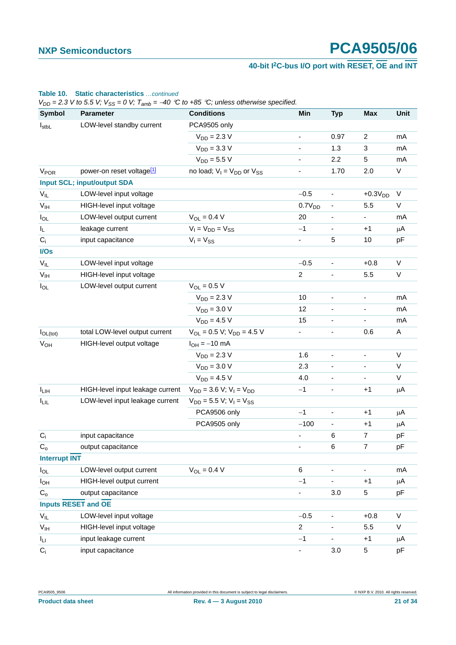### **40-bit I2C-bus I/O port with RESET, OE and INT**

### I<sub>stbL</sub> LOW-level standby current PCA9505 only  $V_{DD} = 2.3 \text{ V}$  - 0.97 2 mA  $V_{DD} = 3.3 \text{ V}$  - 1.3 3 mA  $V_{DD} = 5.5 \text{ V}$  - 2.2 5 mA  $V_{POR}$  power-on reset voltage<sup>[1]</sup> no load;  $V_I = V_{DD}$  or  $V_{SS}$  - 1.70 2.0 V **Input SCL; input/output SDA**  $V_{\parallel}$  LOW-level input voltage  $-0.5$  -  $+0.3V_{\parallel}$  V  $V_{IH}$  HIGH-level input voltage  $0.7V_{DD}$  - 5.5 V  $I_{\text{O}}$  LOW-level output current  $V_{\text{O}} = 0.4 \text{ V}$  20 - - mA  $V_1 = V_{DD} = V_{SS}$  -1 - +1 μA  $C_i$  input capacitance  $V_1 = V_{SS}$   $V_2 = V_{SS}$   $V_3 = V_{SS}$   $V_4 = V_{SS}$   $V_5 = V_{SS}$   $V_6 = V_{SS}$   $V_7 = V_{SS}$   $V_8 = V_{SS}$   $V_9 = V_{SS}$   $V_1 = V_{SS}$   $V_1 = V_{SS}$   $V_2 = V_{SS}$   $V_3 = V_{SS}$   $V_4 = V_{SS}$   $V_5 = V_{SS}$   $V_6 = V_{SS}$   $V_7 = V_{SS}$   $V_8 = V_{SS}$  **I/Os** V<sub>II</sub> LOW-level input voltage −0.5 - +0.8 V V<sub>IH</sub> HIGH-level input voltage 2 - 5.5 V  $I_{\text{O}}$  LOW-level output current  $V_{\text{O}} = 0.5$  V  $V_{DD} = 2.3 \text{ V}$  10 - - mA  $V_{DD} = 3.0 \text{ V}$  12 - - mA  $V_{DD} = 4.5 \text{ V}$  15 - - mA  $I_{\text{Ol (tot)}}$  total LOW-level output current  $V_{\text{OI}} = 0.5 V; V_{\text{DD}} = 4.5 V$  - - 0.6 A  $V_{OH}$  HIGH-level output voltage  $I_{OH} = -10 \text{ mA}$  $V_{DD} = 2.3 \text{ V}$  1.6 - - V  $V_{DD} = 3.0 \text{ V}$  2.3 - - V  $V_{DD} = 4.5 \text{ V}$  4.0 - V I<sub>LIH</sub> HIGH-level input leakage current V<sub>DD</sub> = 3.6 V; V<sub>I</sub> = V<sub>DD</sub> - 3.6 -1 - +1 μA  $I_{\text{L}}$  LOW-level input leakage current  $V_{\text{DD}} = 5.5 \text{ V}; V_1 = V_{\text{SS}}$ PCA9506 only  $-1$  -  $+1$   $\mu$ A PCA9505 only −100 - +1 μA C<sub>i</sub> input capacitance **a** contract the contract of the contract of the contract of the contract of the contract of the pF  $C_0$  output capacitance  $C_0$  output capacitance **Interrupt INT**  $I_{\text{O}}$  LOW-level output current  $V_{\text{O}} = 0.4 \text{ V}$  6 - - mA I<sub>OH</sub> HIGH-level output current −1 - +1 μA  $C_0$  output capacitance  $C_0$  output capacitance  $C_1$  output capacitance  $C_2$  output capacitance **Inputs RESET and OE** V<sub>II</sub> LOW-level input voltage −0.5 - +0.8 V V<sub>IH</sub> HIGH-level input voltage 2 - 5.5 V I<sub>LI</sub> input leakage current **i** input leakage current in the set of the set of the set of the set of the set of the set of the set of the set of the set of the set of the set of the set of the set of the set of the set o  $C_i$  input capacitance  $C_i$  in the set of  $\overline{S}$  of  $\overline{S}$  b  $\overline{P}$  $V_{DD}$  = 2.3 V to 5.5 V;  $V_{SS}$  = 0 V;  $T_{amb}$  = -40 °C to +85 °C; unless otherwise specified. **Symbol Parameter Conditions Min Typ Max Unit**

#### **Table 10. Static characteristics** *…continued*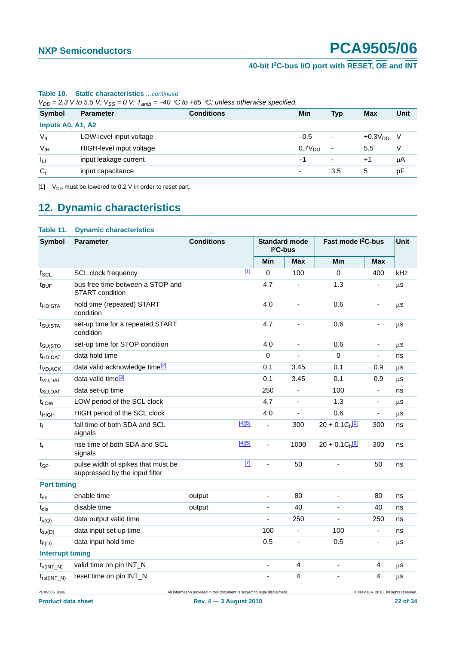### **40-bit I2C-bus I/O port with RESET, OE and INT**

| $V_{DD}$ = 2.3 V to 5.5 V; $V_{SS}$ = 0 V; $T_{amb}$ = -40 °C to +85 °C; unless otherwise specified. |                          |                   |                    |     |             |      |  |
|------------------------------------------------------------------------------------------------------|--------------------------|-------------------|--------------------|-----|-------------|------|--|
| <b>Symbol</b>                                                                                        | <b>Parameter</b>         | <b>Conditions</b> | Min                | Typ | Max         | Unit |  |
|                                                                                                      | Inputs A0, A1, A2        |                   |                    |     |             |      |  |
| $V_{IL}$                                                                                             | LOW-level input voltage  |                   | $-0.5$             | ۰   | $+0.3VDD$ V |      |  |
| V <sub>IH</sub>                                                                                      | HIGH-level input voltage |                   | 0.7V <sub>DD</sub> | ۰   | 5.5         | v    |  |
| Ιu                                                                                                   | input leakage current    |                   | -1                 | ۰   | $+1$        | μA   |  |
| $C_i$                                                                                                | input capacitance        |                   | $\blacksquare$     | 3.5 | 5           | pF   |  |

#### **Table 10. Static characteristics** *…continued*

<span id="page-21-0"></span>[1]  $V_{DD}$  must be lowered to 0.2 V in order to reset part.

## <span id="page-21-1"></span>**12. Dynamic characteristics**

#### **Table 11. Dynamic characteristics**

| <b>Symbol</b>               | <b>Parameter</b>                                                                                                    | <b>Conditions</b> |          | <b>Standard mode</b><br>$I2C-bus$ |                | Fast mode I <sup>2</sup> C-bus |                          | Unit |
|-----------------------------|---------------------------------------------------------------------------------------------------------------------|-------------------|----------|-----------------------------------|----------------|--------------------------------|--------------------------|------|
|                             |                                                                                                                     |                   |          | <b>Min</b>                        | Max            | <b>Min</b>                     | <b>Max</b>               |      |
| $f_{SCL}$                   | SCL clock frequency                                                                                                 |                   | $[1]$    | 0                                 | 100            | $\Omega$                       | 400                      | kHz  |
| t <sub>BUF</sub>            | bus free time between a STOP and<br>START condition                                                                 |                   |          | 4.7                               |                | 1.3                            |                          | μs   |
| t <sub>HD;STA</sub>         | hold time (repeated) START<br>condition                                                                             |                   |          | 4.0                               | ä,             | 0.6                            |                          | μS   |
| t <sub>SU;STA</sub>         | set-up time for a repeated START<br>condition                                                                       |                   |          | 4.7                               | ÷              | 0.6                            |                          | μS   |
| $t_{\text{SU;STO}}$         | set-up time for STOP condition                                                                                      |                   |          | 4.0                               | $\blacksquare$ | 0.6                            | $\overline{\phantom{a}}$ | μS   |
| t <sub>HD;DAT</sub>         | data hold time                                                                                                      |                   |          | 0                                 |                | $\Omega$                       | $\frac{1}{2}$            | ns   |
| t <sub>VD</sub> :ACK        | data valid acknowledge time <sup>[2]</sup>                                                                          |                   |          | 0.1                               | 3.45           | 0.1                            | 0.9                      | μS   |
| t <sub>VD;DAT</sub>         | data valid time <sup>[3]</sup>                                                                                      |                   |          | 0.1                               | 3.45           | 0.1                            | 0.9                      | μS   |
| $t_{\text{SU:DAT}}$         | data set-up time                                                                                                    |                   |          | 250                               | ٠              | 100                            | $\blacksquare$           | ns   |
| t <sub>LOW</sub>            | LOW period of the SCL clock                                                                                         |                   |          | 4.7                               | $\blacksquare$ | 1.3                            | $\blacksquare$           | μS   |
| t <sub>HIGH</sub>           | HIGH period of the SCL clock                                                                                        |                   |          | 4.0                               | ä,             | 0.6                            | $\overline{\phantom{a}}$ | μS   |
| t                           | fall time of both SDA and SCL<br>signals                                                                            |                   | $[4][5]$ | ÷,                                | 300            | $20 + 0.1C_b$ <sup>[6]</sup>   | 300                      | ns   |
| $\mathfrak{t}_{\mathsf{r}}$ | rise time of both SDA and SCL<br>signals                                                                            |                   | [4][5]   | $\overline{a}$                    | 1000           | $20 + 0.1 C_b$ <sup>[6]</sup>  | 300                      | ns   |
| $t_{SP}$                    | pulse width of spikes that must be<br>suppressed by the input filter                                                |                   | $[7]$    | $\blacksquare$                    | 50             |                                | 50                       | ns   |
| <b>Port timing</b>          |                                                                                                                     |                   |          |                                   |                |                                |                          |      |
| $t_{en}$                    | enable time                                                                                                         | output            |          | $\blacksquare$                    | 80             | $\blacksquare$                 | 80                       | ns   |
| $t_{dis}$                   | disable time                                                                                                        | output            |          | $\overline{\phantom{a}}$          | 40             | ÷,                             | 40                       | ns   |
| $t_{V(Q)}$                  | data output valid time                                                                                              |                   |          |                                   | 250            |                                | 250                      | ns   |
| $t_{\text{su}(D)}$          | data input set-up time                                                                                              |                   |          | 100                               | ÷,             | 100                            | $\blacksquare$           | ns   |
| $t_{h(D)}$                  | data input hold time                                                                                                |                   |          | 0.5                               | $\blacksquare$ | 0.5                            | $\overline{\phantom{a}}$ | μS   |
| <b>Interrupt timing</b>     |                                                                                                                     |                   |          |                                   |                |                                |                          |      |
| $t_{V(INT_N)}$              | valid time on pin INT_N                                                                                             |                   |          | $\overline{\phantom{a}}$          | 4              | ä,                             | 4                        | μS   |
| $t_{rst(INT N)}$            | reset time on pin INT_N                                                                                             |                   |          |                                   | 4              |                                | 4                        | μS   |
| PCA9505_9506                | @ NXP B.V. 2010. All rights reserved.<br>All information provided in this document is subject to legal disclaimers. |                   |          |                                   |                |                                |                          |      |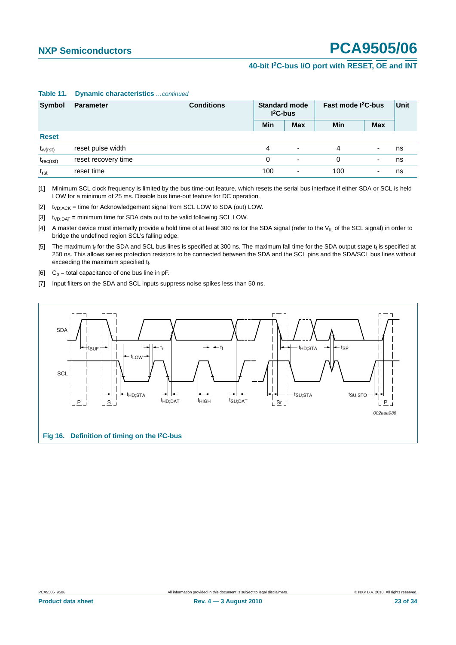### **40-bit I2C-bus I/O port with RESET, OE and INT**

| Symbol         | <b>Parameter</b>    | <b>Conditions</b> | <b>Standard mode</b><br>$12C-bus$ |                          | Fast mode <sup>2</sup> C-bus |                          | Unit |
|----------------|---------------------|-------------------|-----------------------------------|--------------------------|------------------------------|--------------------------|------|
|                |                     |                   | Min                               | <b>Max</b>               | Min                          | <b>Max</b>               |      |
| <b>Reset</b>   |                     |                   |                                   |                          |                              |                          |      |
| $t_{w(rst)}$   | reset pulse width   |                   | 4                                 | $\overline{\phantom{a}}$ | 4                            |                          | ns   |
| $t_{rec(rst)}$ | reset recovery time |                   | 0                                 | -                        | 0                            | $\overline{\phantom{0}}$ | ns   |
| $t_{rst}$      | reset time          |                   | 100                               | -                        | 100                          | $\overline{\phantom{0}}$ | ns   |

#### **Table 11. Dynamic characteristics** *…continued*

<span id="page-22-0"></span>[1] Minimum SCL clock frequency is limited by the bus time-out feature, which resets the serial bus interface if either SDA or SCL is held LOW for a minimum of 25 ms. Disable bus time-out feature for DC operation.

<span id="page-22-1"></span> $[2]$  t<sub>VD;ACK</sub> = time for Acknowledgement signal from SCL LOW to SDA (out) LOW.

<span id="page-22-2"></span> $[3]$  t<sub>VD:DAT</sub> = minimum time for SDA data out to be valid following SCL LOW.

<span id="page-22-3"></span>[4] A master device must internally provide a hold time of at least 300 ns for the SDA signal (refer to the V<sub>IL</sub> of the SCL signal) in order to bridge the undefined region SCL's falling edge.

<span id="page-22-4"></span>[5] The maximum  $t_f$  for the SDA and SCL bus lines is specified at 300 ns. The maximum fall time for the SDA output stage  $t_f$  is specified at 250 ns. This allows series protection resistors to be connected between the SDA and the SCL pins and the SDA/SCL bus lines without exceeding the maximum specified  $t_f$ .

<span id="page-22-5"></span>[6]  $C_b$  = total capacitance of one bus line in pF.

<span id="page-22-6"></span>[7] Input filters on the SDA and SCL inputs suppress noise spikes less than 50 ns.

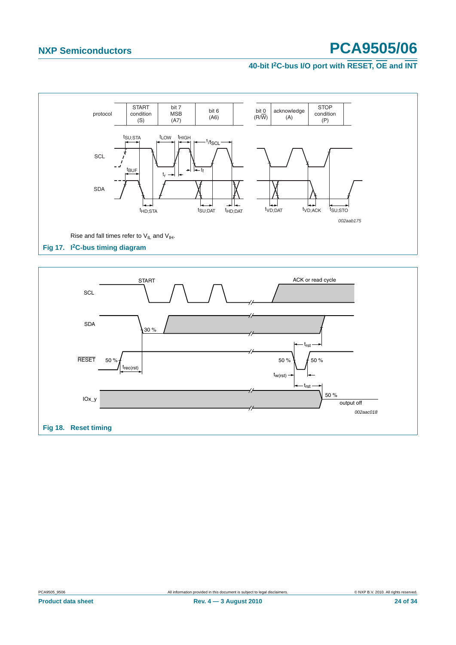### **40-bit I2C-bus I/O port with RESET, OE and INT**



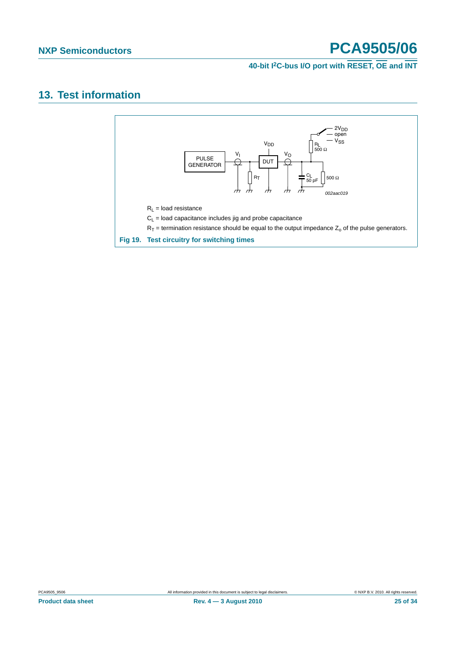### **40-bit I2C-bus I/O port with RESET, OE and INT**

### <span id="page-24-0"></span>**13. Test information**

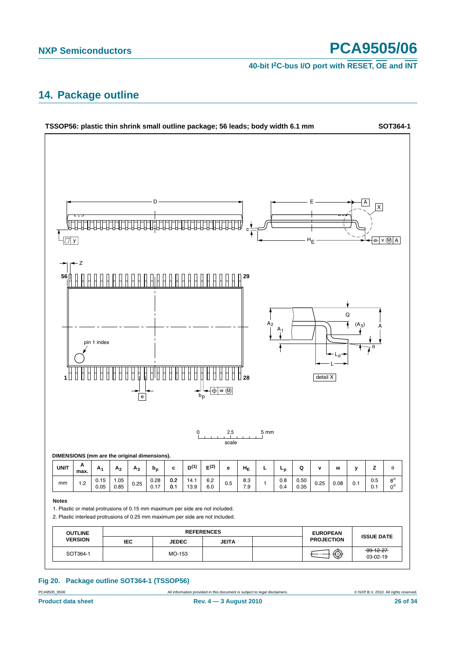**40-bit I2C-bus I/O port with RESET, OE and INT**

### <span id="page-25-0"></span>**14. Package outline**



#### **Fig 20. Package outline SOT364-1 (TSSOP56)**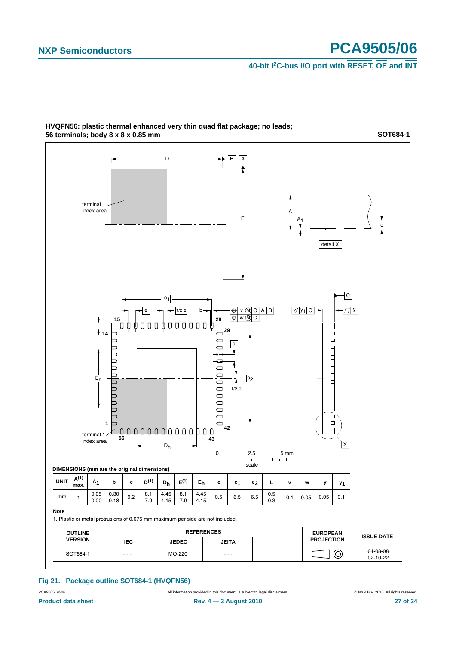**SOT684-1**

**40-bit I2C-bus I/O port with RESET, OE and INT**



#### **HVQFN56: plastic thermal enhanced very thin quad flat package; no leads; 56 terminals; body 8 x 8 x 0.85 mm**

**Fig 21. Package outline SOT684-1 (HVQFN56)**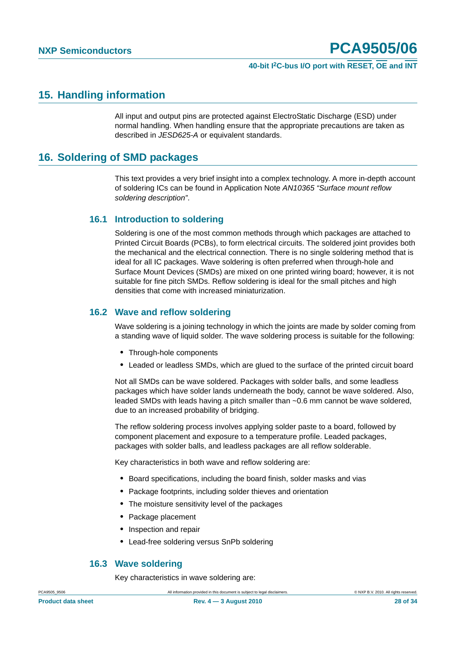#### **40-bit I2C-bus I/O port with RESET, OE and INT**

### <span id="page-27-0"></span>**15. Handling information**

All input and output pins are protected against ElectroStatic Discharge (ESD) under normal handling. When handling ensure that the appropriate precautions are taken as described in *JESD625-A* or equivalent standards.

### <span id="page-27-1"></span>**16. Soldering of SMD packages**

This text provides a very brief insight into a complex technology. A more in-depth account of soldering ICs can be found in Application Note *AN10365 "Surface mount reflow soldering description"*.

#### <span id="page-27-2"></span>**16.1 Introduction to soldering**

Soldering is one of the most common methods through which packages are attached to Printed Circuit Boards (PCBs), to form electrical circuits. The soldered joint provides both the mechanical and the electrical connection. There is no single soldering method that is ideal for all IC packages. Wave soldering is often preferred when through-hole and Surface Mount Devices (SMDs) are mixed on one printed wiring board; however, it is not suitable for fine pitch SMDs. Reflow soldering is ideal for the small pitches and high densities that come with increased miniaturization.

### <span id="page-27-3"></span>**16.2 Wave and reflow soldering**

Wave soldering is a joining technology in which the joints are made by solder coming from a standing wave of liquid solder. The wave soldering process is suitable for the following:

- **•** Through-hole components
- **•** Leaded or leadless SMDs, which are glued to the surface of the printed circuit board

Not all SMDs can be wave soldered. Packages with solder balls, and some leadless packages which have solder lands underneath the body, cannot be wave soldered. Also, leaded SMDs with leads having a pitch smaller than ~0.6 mm cannot be wave soldered, due to an increased probability of bridging.

The reflow soldering process involves applying solder paste to a board, followed by component placement and exposure to a temperature profile. Leaded packages, packages with solder balls, and leadless packages are all reflow solderable.

Key characteristics in both wave and reflow soldering are:

- **•** Board specifications, including the board finish, solder masks and vias
- **•** Package footprints, including solder thieves and orientation
- **•** The moisture sensitivity level of the packages
- **•** Package placement
- **•** Inspection and repair
- **•** Lead-free soldering versus SnPb soldering

#### <span id="page-27-4"></span>**16.3 Wave soldering**

Key characteristics in wave soldering are: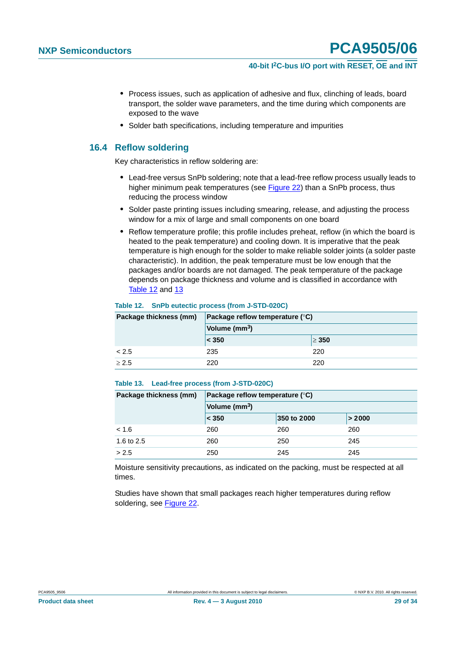### **40-bit I2C-bus I/O port with RESET, OE and INT**

- **•** Process issues, such as application of adhesive and flux, clinching of leads, board transport, the solder wave parameters, and the time during which components are exposed to the wave
- **•** Solder bath specifications, including temperature and impurities

### <span id="page-28-0"></span>**16.4 Reflow soldering**

Key characteristics in reflow soldering are:

- **•** Lead-free versus SnPb soldering; note that a lead-free reflow process usually leads to higher minimum peak temperatures (see Figure 22) than a SnPb process, thus reducing the process window
- **•** Solder paste printing issues including smearing, release, and adjusting the process window for a mix of large and small components on one board
- **•** Reflow temperature profile; this profile includes preheat, reflow (in which the board is heated to the peak temperature) and cooling down. It is imperative that the peak temperature is high enough for the solder to make reliable solder joints (a solder paste characteristic). In addition, the peak temperature must be low enough that the packages and/or boards are not damaged. The peak temperature of the package depends on package thickness and volume and is classified in accordance with Table 12 and 13

#### **Table 12. SnPb eutectic process (from J-STD-020C)**

| Package thickness (mm) | Package reflow temperature $(^\circ \text{C})$ |            |  |
|------------------------|------------------------------------------------|------------|--|
|                        | Volume (mm <sup>3</sup> )                      |            |  |
|                        | $ $ < 350                                      | $\geq 350$ |  |
| < 2.5                  | 235                                            | 220        |  |
| $\geq 2.5$             | 220                                            | 220        |  |

#### **Table 13. Lead-free process (from J-STD-020C)**

| Package thickness (mm) | Package reflow temperature $(^\circ \mathsf{C})$ |             |        |  |  |
|------------------------|--------------------------------------------------|-------------|--------|--|--|
|                        | Volume (mm <sup>3</sup> )                        |             |        |  |  |
|                        | < 350                                            | 350 to 2000 | > 2000 |  |  |
| < 1.6                  | 260                                              | 260         | 260    |  |  |
| 1.6 to 2.5             | 260                                              | 250         | 245    |  |  |
| > 2.5                  | 250                                              | 245         | 245    |  |  |

Moisture sensitivity precautions, as indicated on the packing, must be respected at all times.

Studies have shown that small packages reach higher temperatures during reflow soldering, see Figure 22.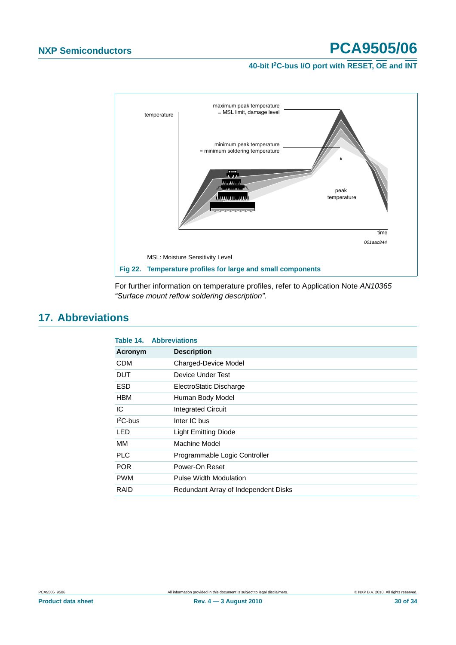**40-bit I2C-bus I/O port with RESET, OE and INT**



For further information on temperature profiles, refer to Application Note *AN10365 "Surface mount reflow soldering description"*.

### <span id="page-29-0"></span>**17. Abbreviations**

| Table 14.  | <b>Abbreviations</b>                 |
|------------|--------------------------------------|
| Acronym    | <b>Description</b>                   |
| <b>CDM</b> | Charged-Device Model                 |
| <b>DUT</b> | Device Under Test                    |
| <b>ESD</b> | ElectroStatic Discharge              |
| <b>HBM</b> | Human Body Model                     |
| IC         | <b>Integrated Circuit</b>            |
| $12C$ -bus | Inter IC bus                         |
| LED        | <b>Light Emitting Diode</b>          |
| MМ         | Machine Model                        |
| <b>PLC</b> | Programmable Logic Controller        |
| <b>POR</b> | Power-On Reset                       |
| <b>PWM</b> | Pulse Width Modulation               |
| RAID       | Redundant Array of Independent Disks |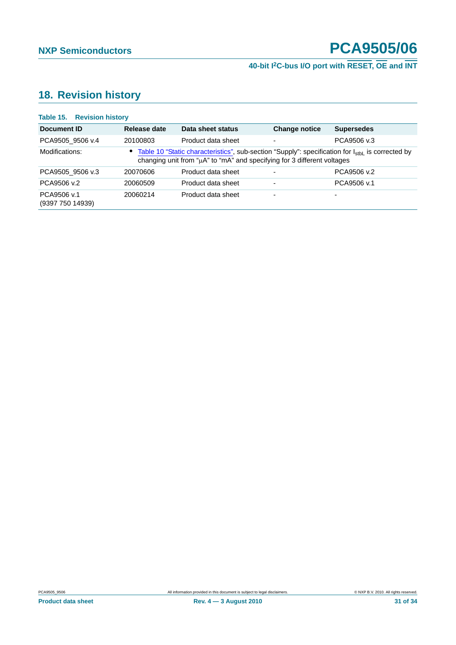# **40-bit I2C-bus I/O port with RESET, OE and INT**

## <span id="page-30-0"></span>**18. Revision history**

| <b>Table 15. Revision history</b> |              |                                                                                                                                                                                           |                          |                   |
|-----------------------------------|--------------|-------------------------------------------------------------------------------------------------------------------------------------------------------------------------------------------|--------------------------|-------------------|
| Document ID                       | Release date | Data sheet status                                                                                                                                                                         | <b>Change notice</b>     | <b>Supersedes</b> |
| PCA9505 9506 v.4                  | 20100803     | Product data sheet                                                                                                                                                                        | $\blacksquare$           | PCA9506 v.3       |
| Modifications:                    |              | • Table 10 "Static characteristics", sub-section "Supply": specification for l <sub>sthl</sub> is corrected by<br>changing unit from "µA" to "mA" and specifying for 3 different voltages |                          |                   |
| PCA9505 9506 v.3                  | 20070606     | Product data sheet                                                                                                                                                                        | $\blacksquare$           | PCA9506 v.2       |
| PCA9506 v.2                       | 20060509     | Product data sheet                                                                                                                                                                        | $\blacksquare$           | PCA9506 v.1       |
| PCA9506 v.1<br>(9397 750 14939)   | 20060214     | Product data sheet                                                                                                                                                                        | $\overline{\phantom{0}}$ | -                 |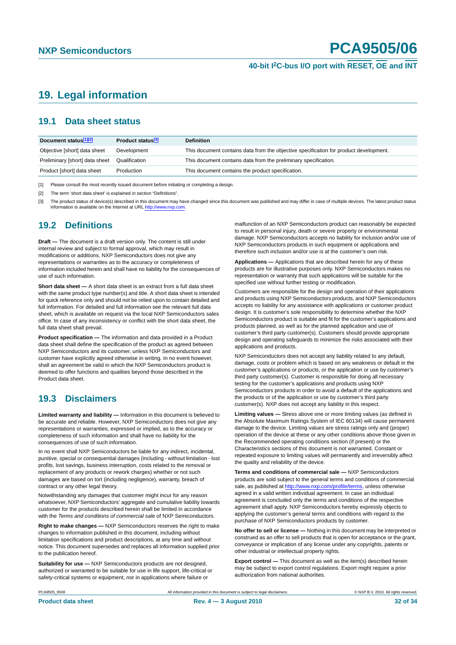### **40-bit I2C-bus I/O port with RESET, OE and INT**

### <span id="page-31-0"></span>**19. Legal information**

### <span id="page-31-1"></span>**19.1 Data sheet status**

| Document status[1][2]          | Product status <sup>[3]</sup> | <b>Definition</b>                                                                     |
|--------------------------------|-------------------------------|---------------------------------------------------------------------------------------|
| Objective [short] data sheet   | Development                   | This document contains data from the objective specification for product development. |
| Preliminary [short] data sheet | Qualification                 | This document contains data from the preliminary specification.                       |
| Product [short] data sheet     | Production                    | This document contains the product specification.                                     |

[1] Please consult the most recently issued document before initiating or completing a design.

[2] The term 'short data sheet' is explained in section "Definitions".

[3] The product status of device(s) described in this document may have changed since this document was published and may differ in case of multiple devices. The latest product status<br>information is available on the Intern

### <span id="page-31-2"></span>**19.2 Definitions**

**Draft —** The document is a draft version only. The content is still under internal review and subject to formal approval, which may result in modifications or additions. NXP Semiconductors does not give any representations or warranties as to the accuracy or completeness of information included herein and shall have no liability for the consequences of use of such information.

**Short data sheet —** A short data sheet is an extract from a full data sheet with the same product type number(s) and title. A short data sheet is intended for quick reference only and should not be relied upon to contain detailed and full information. For detailed and full information see the relevant full data sheet, which is available on request via the local NXP Semiconductors sales office. In case of any inconsistency or conflict with the short data sheet, the full data sheet shall prevail.

**Product specification —** The information and data provided in a Product data sheet shall define the specification of the product as agreed between NXP Semiconductors and its customer, unless NXP Semiconductors and customer have explicitly agreed otherwise in writing. In no event however, shall an agreement be valid in which the NXP Semiconductors product is deemed to offer functions and qualities beyond those described in the Product data sheet.

### <span id="page-31-3"></span>**19.3 Disclaimers**

**Limited warranty and liability —** Information in this document is believed to be accurate and reliable. However, NXP Semiconductors does not give any representations or warranties, expressed or implied, as to the accuracy or completeness of such information and shall have no liability for the consequences of use of such information.

In no event shall NXP Semiconductors be liable for any indirect, incidental, punitive, special or consequential damages (including - without limitation - lost profits, lost savings, business interruption, costs related to the removal or replacement of any products or rework charges) whether or not such damages are based on tort (including negligence), warranty, breach of contract or any other legal theory.

Notwithstanding any damages that customer might incur for any reason whatsoever, NXP Semiconductors' aggregate and cumulative liability towards customer for the products described herein shall be limited in accordance with the *Terms and conditions of commercial sale* of NXP Semiconductors.

**Right to make changes —** NXP Semiconductors reserves the right to make changes to information published in this document, including without limitation specifications and product descriptions, at any time and without notice. This document supersedes and replaces all information supplied prior to the publication hereof.

**Suitability for use —** NXP Semiconductors products are not designed, authorized or warranted to be suitable for use in life support, life-critical or safety-critical systems or equipment, nor in applications where failure or

malfunction of an NXP Semiconductors product can reasonably be expected to result in personal injury, death or severe property or environmental damage. NXP Semiconductors accepts no liability for inclusion and/or use of NXP Semiconductors products in such equipment or applications and therefore such inclusion and/or use is at the customer's own risk.

**Applications —** Applications that are described herein for any of these products are for illustrative purposes only. NXP Semiconductors makes no representation or warranty that such applications will be suitable for the specified use without further testing or modification.

Customers are responsible for the design and operation of their applications and products using NXP Semiconductors products, and NXP Semiconductors accepts no liability for any assistance with applications or customer product design. It is customer's sole responsibility to determine whether the NXP Semiconductors product is suitable and fit for the customer's applications and products planned, as well as for the planned application and use of customer's third party customer(s). Customers should provide appropriate design and operating safeguards to minimize the risks associated with their applications and products.

NXP Semiconductors does not accept any liability related to any default, damage, costs or problem which is based on any weakness or default in the customer's applications or products, or the application or use by customer's third party customer(s). Customer is responsible for doing all necessary testing for the customer's applications and products using NXP Semiconductors products in order to avoid a default of the applications and the products or of the application or use by customer's third party customer(s). NXP does not accept any liability in this respect.

**Limiting values —** Stress above one or more limiting values (as defined in the Absolute Maximum Ratings System of IEC 60134) will cause permanent damage to the device. Limiting values are stress ratings only and (proper) operation of the device at these or any other conditions above those given in the Recommended operating conditions section (if present) or the Characteristics sections of this document is not warranted. Constant or repeated exposure to limiting values will permanently and irreversibly affect the quality and reliability of the device.

**Terms and conditions of commercial sale —** NXP Semiconductors products are sold subject to the general terms and conditions of commercial sale, as published at http://www.nxp.com/profile/terms, unless otherwise agreed in a valid written individual agreement. In case an individual agreement is concluded only the terms and conditions of the respective agreement shall apply. NXP Semiconductors hereby expressly objects to applying the customer's general terms and conditions with regard to the purchase of NXP Semiconductors products by customer.

**No offer to sell or license —** Nothing in this document may be interpreted or construed as an offer to sell products that is open for acceptance or the grant, conveyance or implication of any license under any copyrights, patents or other industrial or intellectual property rights.

**Export control —** This document as well as the item(s) described herein may be subject to export control regulations. Export might require a prior authorization from national authorities.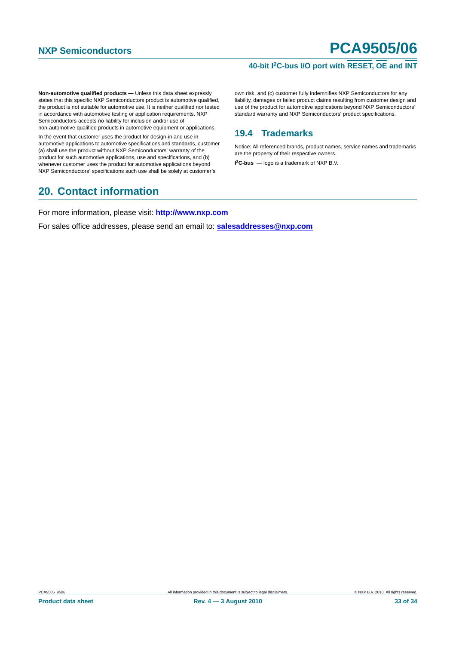### **40-bit I2C-bus I/O port with RESET, OE and INT**

**Non-automotive qualified products —** Unless this data sheet expressly states that this specific NXP Semiconductors product is automotive qualified, the product is not suitable for automotive use. It is neither qualified nor tested in accordance with automotive testing or application requirements. NXP Semiconductors accepts no liability for inclusion and/or use of non-automotive qualified products in automotive equipment or applications.

In the event that customer uses the product for design-in and use in automotive applications to automotive specifications and standards, customer (a) shall use the product without NXP Semiconductors' warranty of the product for such automotive applications, use and specifications, and (b) whenever customer uses the product for automotive applications beyond NXP Semiconductors' specifications such use shall be solely at customer's

### <span id="page-32-1"></span>**20. Contact information**

own risk, and (c) customer fully indemnifies NXP Semiconductors for any liability, damages or failed product claims resulting from customer design and use of the product for automotive applications beyond NXP Semiconductors' standard warranty and NXP Semiconductors' product specifications.

### <span id="page-32-0"></span>**19.4 Trademarks**

Notice: All referenced brands, product names, service names and trademarks are the property of their respective owners.

**I 2C-bus —** logo is a trademark of NXP B.V.

For more information, please visit: **http://www.nxp.com**

For sales office addresses, please send an email to: **salesaddresses@nxp.com**